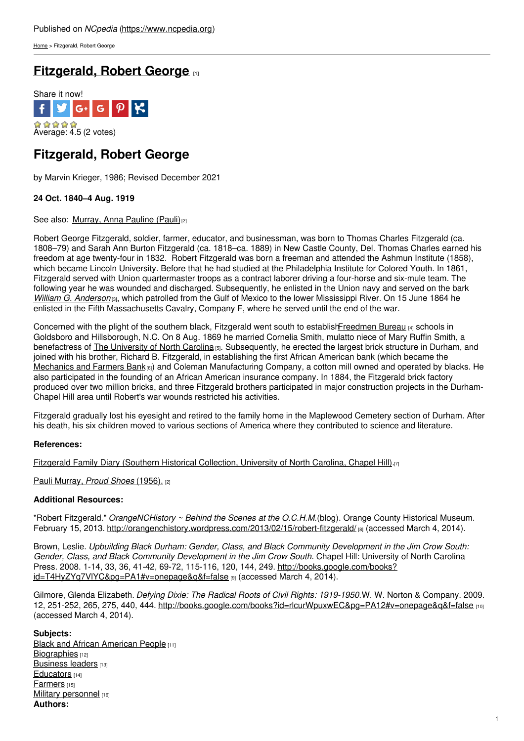[Home](https://www.ncpedia.org/) > Fitzgerald, Robert George

# **[Fitzgerald,](https://www.ncpedia.org/biography/fitzgerald-robert-george) Robert George [1]**



# **Fitzgerald, Robert George**

by Marvin Krieger, 1986; Revised December 2021

# **24 Oct. 1840–4 Aug. 1919**

### See also: [Murray,](https://www.ncpedia.org/murray-anna-pauline-pauli) Anna Pauline (Pauli)<sup>[2]</sup>

Robert George Fitzgerald, soldier, farmer, [educator,](http://www.social9.com) and businessman, was born to Thomas Charles Fitzgerald (ca. 1808–79) and Sarah Ann Burton Fitzgerald (ca. 1818–ca. 1889) in New Castle County, Del. Thomas Charles earned his freedom at age twenty-four in 1832. Robert Fitzgerald was born a freeman and attended the Ashmun Institute (1858), which became Lincoln University. Before that he had studied at the Philadelphia Institute for Colored Youth. In 1861, Fitzgerald served with Union quartermaster troops as a contract laborer driving a four-horse and six-mule team. The following year he was wounded and discharged. Subsequently, he enlisted in the Union navy and served on the bark *William G. [Anderson](http://www.history.navy.mil/danfs/w8/william_g_anderson.htm)* [3], which patrolled from the Gulf of Mexico to the lower Mississippi River. On 15 June 1864 he enlisted in the Fifth Massachusetts Cavalry, Company F, where he served until the end of the war.

Concerned with the plight of the southern black, Fitzgerald went south to establish Freedmen Bureau [4] schools in Goldsboro and Hillsborough, N.C. On 8 Aug. 1869 he married Cornelia Smith, mulatto niece of Mary Ruffin Smith, a benefactress of The [University](https://www.ncpedia.org/university-north-carolina-chapel-hi) of North Carolina [5]. Subsequently, he erected the largest brick structure in Durham, and joined with his brother, Richard B. Fitzgerald, in establishing the first African American bank (which became the [Mechanics](https://www.ncpedia.org/mechanics-and-farmers-bank) and Farmers Bank $_{[6]}$ ) and Coleman Manufacturing Company, a cotton mill owned and operated by blacks. He also participated in the founding of an African American insurance company. In 1884, the Fitzgerald brick factory produced over two million bricks, and three Fitzgerald brothers participated in major construction projects in the Durham-Chapel Hill area until Robert's war wounds restricted his activities.

Fitzgerald gradually lost his eyesight and retired to the family home in the Maplewood Cemetery section of Durham. After his death, his six children moved to various sections of America where they contributed to science and literature.

## **References:**

Fitzgerald Family Diary (Southern Historical [Collection,](http://www2.lib.unc.edu/mss/inv/f/Fitzgerald_Family.html) University of North Carolina, Chapel Hill).[7]

Pauli [Murray,](https://www.ncpedia.org/murray-anna-pauline-pauli) *Proud Shoes* (1956). [2]

### **Additional Resources:**

"Robert Fitzgerald." *OrangeNCHistory ~ Behind the Scenes at the O.C.H.M.*(blog). Orange County Historical Museum. February 15, 2013. <http://orangenchistory.wordpress.com/2013/02/15/robert-fitzgerald/> [8] (accessed March 4, 2014).

Brown, Leslie. *Upbuilding Black Durham: Gender, Class, and Black Community Development in the Jim Crow South: Gender, Class, and Black Community Development in the Jim Crow South.* Chapel Hill: University of North Carolina Press. 2008. 1-14, 33, 36, 41-42, 69-72, 115-116, 120, 144, 249. http://books.google.com/books? id=T4HyZYq7VIYC&pg=PA1#v=onepage&q&f=false [9] (accessed March 4, 2014).

Gilmore, Glenda Elizabeth. *Defying Dixie: The Radical Roots of Civil Rights: 1919-1950.*W. W. Norton & Company. 2009. 12, 251-252, 265, 275, 440, 444. <http://books.google.com/books?id=rlcurWpuxwEC&pg=PA12#v=onepage&q&f=false> [10] (accessed March 4, 2014).

### **Subjects:**

**Black and African [American](https://www.ncpedia.org/category/subjects/african-americans) People [11]** [Biographies](https://www.ncpedia.org/category/subjects/biography-term) [12] [Business](https://www.ncpedia.org/category/subjects/business-leaders) leaders [13] [Educators](https://www.ncpedia.org/category/subjects/educators) [14] [Farmers](https://www.ncpedia.org/category/subjects/farmers) [15] Military [personnel](https://www.ncpedia.org/category/subjects/soldiers) [16] **Authors:**